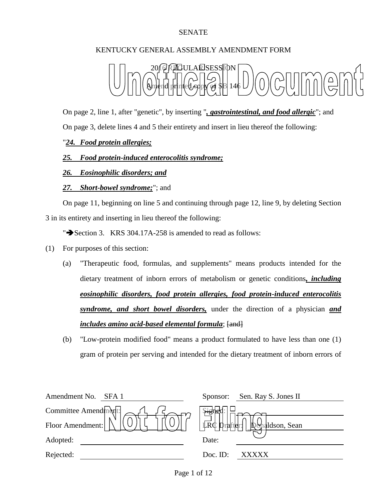## SENATE

# KENTUCKY GENERAL ASSEMBLY AMENDMENT FORM



On page 2, line 1, after "genetic", by inserting "*, gastrointestinal, and food allergic*"; and On page 3, delete lines 4 and 5 their entirety and insert in lieu thereof the following:

## "*24. Food protein allergies;*

## *25. Food protein-induced enterocolitis syndrome;*

## *26. Eosinophilic disorders; and*

#### *27. Short-bowel syndrome;*"; and

On page 11, beginning on line 5 and continuing through page 12, line 9, by deleting Section 3 in its entirety and inserting in lieu thereof the following:

" $\rightarrow$  Section 3. KRS 304.17A-258 is amended to read as follows:

- (1) For purposes of this section:
	- (a) "Therapeutic food, formulas, and supplements" means products intended for the dietary treatment of inborn errors of metabolism or genetic conditions*, including eosinophilic disorders, food protein allergies, food protein-induced enterocolitis syndrome, and short bowel disorders,* under the direction of a physician *and includes amino acid-based elemental formula*;  $\overline{\text{4nd}}$
	- (b) "Low-protein modified food" means a product formulated to have less than one (1) gram of protein per serving and intended for the dietary treatment of inborn errors of

| Amendment No.<br>SFA <sub>1</sub>                          | Sen. Ray S. Jones II<br>Sponsor:                            |
|------------------------------------------------------------|-------------------------------------------------------------|
| Committee Amend $\left \ln\left(\frac{1}{f}\right)\right $ | Signer                                                      |
| Floor Amendment:                                           | $\lfloor \frac{1}{LRC} \rfloor$ prafter:<br>Donaldson, Sean |
| Adopted:                                                   | Date:                                                       |
| Rejected:                                                  | Doc. ID:<br>XXXXX                                           |
|                                                            |                                                             |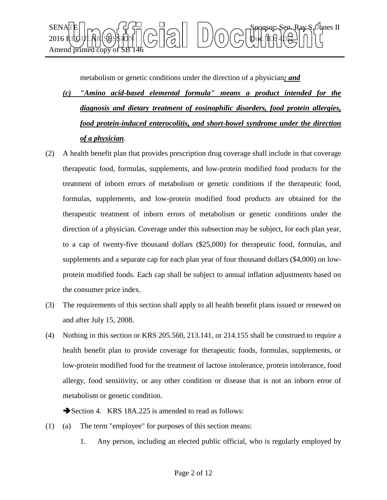

metabolism or genetic conditions under the direction of a physician*; and*

- *(c) "Amino acid-based elemental formula" means a product intended for the diagnosis and dietary treatment of eosinophilic disorders, food protein allergies, food protein-induced enterocolitis, and short-bowel syndrome under the direction of a physician*.
- (2) A health benefit plan that provides prescription drug coverage shall include in that coverage therapeutic food, formulas, supplements, and low-protein modified food products for the treatment of inborn errors of metabolism or genetic conditions if the therapeutic food, formulas, supplements, and low-protein modified food products are obtained for the therapeutic treatment of inborn errors of metabolism or genetic conditions under the direction of a physician. Coverage under this subsection may be subject, for each plan year, to a cap of twenty-five thousand dollars (\$25,000) for therapeutic food, formulas, and supplements and a separate cap for each plan year of four thousand dollars (\$4,000) on lowprotein modified foods. Each cap shall be subject to annual inflation adjustments based on the consumer price index.
- (3) The requirements of this section shall apply to all health benefit plans issued or renewed on and after July 15, 2008.
- (4) Nothing in this section or KRS 205.560, 213.141, or 214.155 shall be construed to require a health benefit plan to provide coverage for therapeutic foods, formulas, supplements, or low-protein modified food for the treatment of lactose intolerance, protein intolerance, food allergy, food sensitivity, or any other condition or disease that is not an inborn error of metabolism or genetic condition.

Section 4. KRS 18A.225 is amended to read as follows:

- (1) (a) The term "employee" for purposes of this section means:
	- 1. Any person, including an elected public official, who is regularly employed by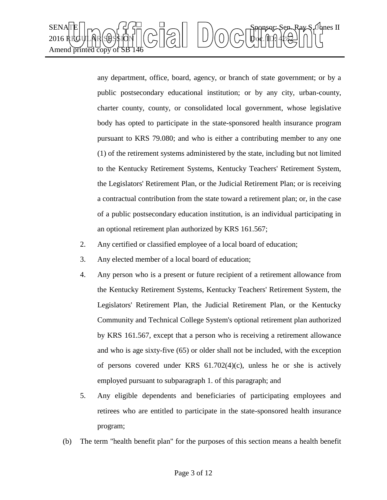

any department, office, board, agency, or branch of state government; or by a public postsecondary educational institution; or by any city, urban-county, charter county, county, or consolidated local government, whose legislative body has opted to participate in the state-sponsored health insurance program pursuant to KRS 79.080; and who is either a contributing member to any one (1) of the retirement systems administered by the state, including but not limited to the Kentucky Retirement Systems, Kentucky Teachers' Retirement System, the Legislators' Retirement Plan, or the Judicial Retirement Plan; or is receiving a contractual contribution from the state toward a retirement plan; or, in the case of a public postsecondary education institution, is an individual participating in an optional retirement plan authorized by KRS 161.567;

- 2. Any certified or classified employee of a local board of education;
- 3. Any elected member of a local board of education;
- 4. Any person who is a present or future recipient of a retirement allowance from the Kentucky Retirement Systems, Kentucky Teachers' Retirement System, the Legislators' Retirement Plan, the Judicial Retirement Plan, or the Kentucky Community and Technical College System's optional retirement plan authorized by KRS 161.567, except that a person who is receiving a retirement allowance and who is age sixty-five (65) or older shall not be included, with the exception of persons covered under KRS 61.702(4)(c), unless he or she is actively employed pursuant to subparagraph 1. of this paragraph; and
- 5. Any eligible dependents and beneficiaries of participating employees and retirees who are entitled to participate in the state-sponsored health insurance program;
- (b) The term "health benefit plan" for the purposes of this section means a health benefit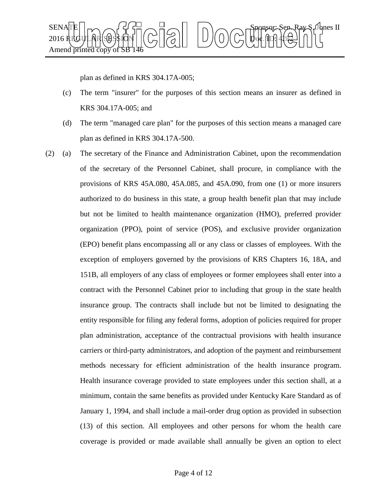

plan as defined in KRS 304.17A-005;

- (c) The term "insurer" for the purposes of this section means an insurer as defined in KRS 304.17A-005; and
- (d) The term "managed care plan" for the purposes of this section means a managed care plan as defined in KRS 304.17A-500.
- (2) (a) The secretary of the Finance and Administration Cabinet, upon the recommendation of the secretary of the Personnel Cabinet, shall procure, in compliance with the provisions of KRS 45A.080, 45A.085, and 45A.090, from one (1) or more insurers authorized to do business in this state, a group health benefit plan that may include but not be limited to health maintenance organization (HMO), preferred provider organization (PPO), point of service (POS), and exclusive provider organization (EPO) benefit plans encompassing all or any class or classes of employees. With the exception of employers governed by the provisions of KRS Chapters 16, 18A, and 151B, all employers of any class of employees or former employees shall enter into a contract with the Personnel Cabinet prior to including that group in the state health insurance group. The contracts shall include but not be limited to designating the entity responsible for filing any federal forms, adoption of policies required for proper plan administration, acceptance of the contractual provisions with health insurance carriers or third-party administrators, and adoption of the payment and reimbursement methods necessary for efficient administration of the health insurance program. Health insurance coverage provided to state employees under this section shall, at a minimum, contain the same benefits as provided under Kentucky Kare Standard as of January 1, 1994, and shall include a mail-order drug option as provided in subsection (13) of this section. All employees and other persons for whom the health care coverage is provided or made available shall annually be given an option to elect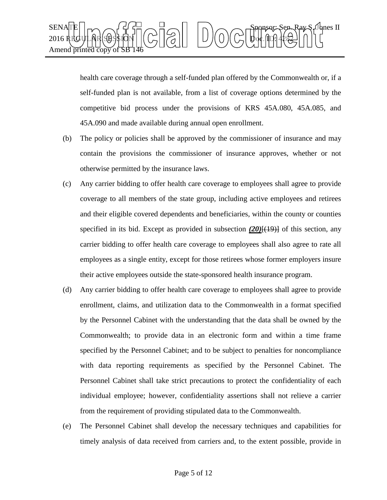

health care coverage through a self-funded plan offered by the Commonwealth or, if a self-funded plan is not available, from a list of coverage options determined by the competitive bid process under the provisions of KRS 45A.080, 45A.085, and 45A.090 and made available during annual open enrollment.

- (b) The policy or policies shall be approved by the commissioner of insurance and may contain the provisions the commissioner of insurance approves, whether or not otherwise permitted by the insurance laws.
- (c) Any carrier bidding to offer health care coverage to employees shall agree to provide coverage to all members of the state group, including active employees and retirees and their eligible covered dependents and beneficiaries, within the county or counties specified in its bid. Except as provided in subsection  $(20)$ [(19)] of this section, any carrier bidding to offer health care coverage to employees shall also agree to rate all employees as a single entity, except for those retirees whose former employers insure their active employees outside the state-sponsored health insurance program.
- (d) Any carrier bidding to offer health care coverage to employees shall agree to provide enrollment, claims, and utilization data to the Commonwealth in a format specified by the Personnel Cabinet with the understanding that the data shall be owned by the Commonwealth; to provide data in an electronic form and within a time frame specified by the Personnel Cabinet; and to be subject to penalties for noncompliance with data reporting requirements as specified by the Personnel Cabinet. The Personnel Cabinet shall take strict precautions to protect the confidentiality of each individual employee; however, confidentiality assertions shall not relieve a carrier from the requirement of providing stipulated data to the Commonwealth.
- (e) The Personnel Cabinet shall develop the necessary techniques and capabilities for timely analysis of data received from carriers and, to the extent possible, provide in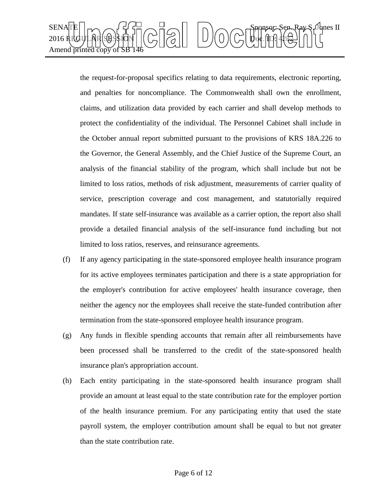

the request-for-proposal specifics relating to data requirements, electronic reporting, and penalties for noncompliance. The Commonwealth shall own the enrollment, claims, and utilization data provided by each carrier and shall develop methods to protect the confidentiality of the individual. The Personnel Cabinet shall include in the October annual report submitted pursuant to the provisions of KRS 18A.226 to the Governor, the General Assembly, and the Chief Justice of the Supreme Court, an analysis of the financial stability of the program, which shall include but not be limited to loss ratios, methods of risk adjustment, measurements of carrier quality of service, prescription coverage and cost management, and statutorially required mandates. If state self-insurance was available as a carrier option, the report also shall provide a detailed financial analysis of the self-insurance fund including but not limited to loss ratios, reserves, and reinsurance agreements.

- (f) If any agency participating in the state-sponsored employee health insurance program for its active employees terminates participation and there is a state appropriation for the employer's contribution for active employees' health insurance coverage, then neither the agency nor the employees shall receive the state-funded contribution after termination from the state-sponsored employee health insurance program.
- (g) Any funds in flexible spending accounts that remain after all reimbursements have been processed shall be transferred to the credit of the state-sponsored health insurance plan's appropriation account.
- (h) Each entity participating in the state-sponsored health insurance program shall provide an amount at least equal to the state contribution rate for the employer portion of the health insurance premium. For any participating entity that used the state payroll system, the employer contribution amount shall be equal to but not greater than the state contribution rate.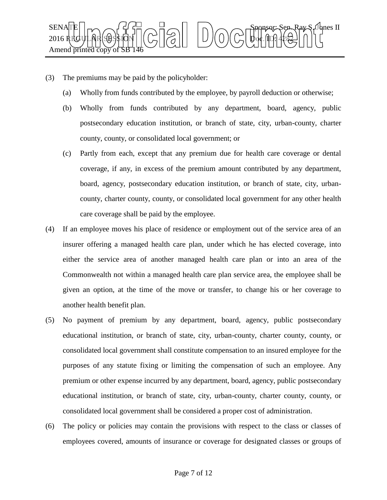

- (3) The premiums may be paid by the policyholder:
	- (a) Wholly from funds contributed by the employee, by payroll deduction or otherwise;
	- (b) Wholly from funds contributed by any department, board, agency, public postsecondary education institution, or branch of state, city, urban-county, charter county, county, or consolidated local government; or
	- (c) Partly from each, except that any premium due for health care coverage or dental coverage, if any, in excess of the premium amount contributed by any department, board, agency, postsecondary education institution, or branch of state, city, urbancounty, charter county, county, or consolidated local government for any other health care coverage shall be paid by the employee.
- (4) If an employee moves his place of residence or employment out of the service area of an insurer offering a managed health care plan, under which he has elected coverage, into either the service area of another managed health care plan or into an area of the Commonwealth not within a managed health care plan service area, the employee shall be given an option, at the time of the move or transfer, to change his or her coverage to another health benefit plan.
- (5) No payment of premium by any department, board, agency, public postsecondary educational institution, or branch of state, city, urban-county, charter county, county, or consolidated local government shall constitute compensation to an insured employee for the purposes of any statute fixing or limiting the compensation of such an employee. Any premium or other expense incurred by any department, board, agency, public postsecondary educational institution, or branch of state, city, urban-county, charter county, county, or consolidated local government shall be considered a proper cost of administration.
- (6) The policy or policies may contain the provisions with respect to the class or classes of employees covered, amounts of insurance or coverage for designated classes or groups of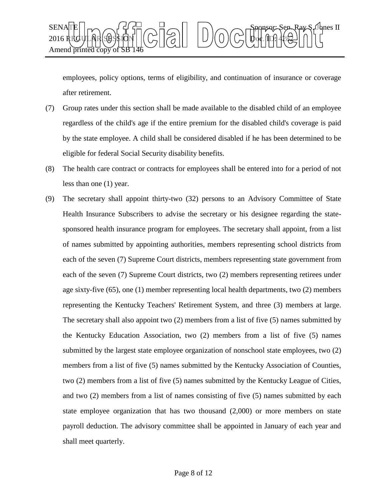

employees, policy options, terms of eligibility, and continuation of insurance or coverage after retirement.

- (7) Group rates under this section shall be made available to the disabled child of an employee regardless of the child's age if the entire premium for the disabled child's coverage is paid by the state employee. A child shall be considered disabled if he has been determined to be eligible for federal Social Security disability benefits.
- (8) The health care contract or contracts for employees shall be entered into for a period of not less than one (1) year.
- (9) The secretary shall appoint thirty-two (32) persons to an Advisory Committee of State Health Insurance Subscribers to advise the secretary or his designee regarding the statesponsored health insurance program for employees. The secretary shall appoint, from a list of names submitted by appointing authorities, members representing school districts from each of the seven (7) Supreme Court districts, members representing state government from each of the seven (7) Supreme Court districts, two (2) members representing retirees under age sixty-five (65), one (1) member representing local health departments, two (2) members representing the Kentucky Teachers' Retirement System, and three (3) members at large. The secretary shall also appoint two (2) members from a list of five (5) names submitted by the Kentucky Education Association, two (2) members from a list of five (5) names submitted by the largest state employee organization of nonschool state employees, two (2) members from a list of five (5) names submitted by the Kentucky Association of Counties, two (2) members from a list of five (5) names submitted by the Kentucky League of Cities, and two (2) members from a list of names consisting of five (5) names submitted by each state employee organization that has two thousand (2,000) or more members on state payroll deduction. The advisory committee shall be appointed in January of each year and shall meet quarterly.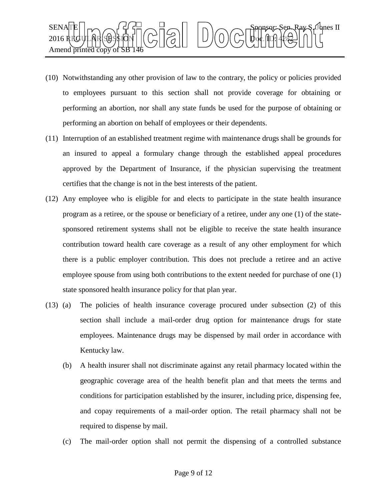

- (10) Notwithstanding any other provision of law to the contrary, the policy or policies provided to employees pursuant to this section shall not provide coverage for obtaining or performing an abortion, nor shall any state funds be used for the purpose of obtaining or performing an abortion on behalf of employees or their dependents.
- (11) Interruption of an established treatment regime with maintenance drugs shall be grounds for an insured to appeal a formulary change through the established appeal procedures approved by the Department of Insurance, if the physician supervising the treatment certifies that the change is not in the best interests of the patient.
- (12) Any employee who is eligible for and elects to participate in the state health insurance program as a retiree, or the spouse or beneficiary of a retiree, under any one (1) of the statesponsored retirement systems shall not be eligible to receive the state health insurance contribution toward health care coverage as a result of any other employment for which there is a public employer contribution. This does not preclude a retiree and an active employee spouse from using both contributions to the extent needed for purchase of one (1) state sponsored health insurance policy for that plan year.
- (13) (a) The policies of health insurance coverage procured under subsection (2) of this section shall include a mail-order drug option for maintenance drugs for state employees. Maintenance drugs may be dispensed by mail order in accordance with Kentucky law.
	- (b) A health insurer shall not discriminate against any retail pharmacy located within the geographic coverage area of the health benefit plan and that meets the terms and conditions for participation established by the insurer, including price, dispensing fee, and copay requirements of a mail-order option. The retail pharmacy shall not be required to dispense by mail.
	- (c) The mail-order option shall not permit the dispensing of a controlled substance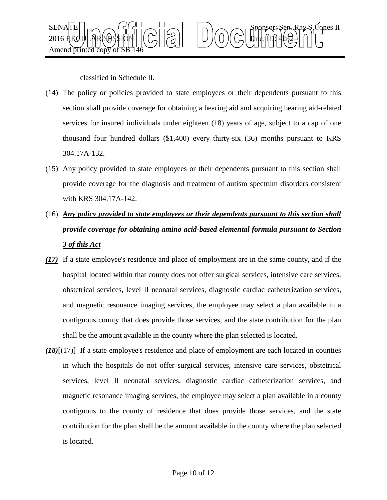

classified in Schedule II.

- (14) The policy or policies provided to state employees or their dependents pursuant to this section shall provide coverage for obtaining a hearing aid and acquiring hearing aid-related services for insured individuals under eighteen (18) years of age, subject to a cap of one thousand four hundred dollars (\$1,400) every thirty-six (36) months pursuant to KRS 304.17A-132.
- (15) Any policy provided to state employees or their dependents pursuant to this section shall provide coverage for the diagnosis and treatment of autism spectrum disorders consistent with KRS 304.17A-142.
- (16) *Any policy provided to state employees or their dependents pursuant to this section shall provide coverage for obtaining amino acid-based elemental formula pursuant to Section 3 of this Act*
- *(17)* If a state employee's residence and place of employment are in the same county, and if the hospital located within that county does not offer surgical services, intensive care services, obstetrical services, level II neonatal services, diagnostic cardiac catheterization services, and magnetic resonance imaging services, the employee may select a plan available in a contiguous county that does provide those services, and the state contribution for the plan shall be the amount available in the county where the plan selected is located.
- *(18)*[(17)] If a state employee's residence and place of employment are each located in counties in which the hospitals do not offer surgical services, intensive care services, obstetrical services, level II neonatal services, diagnostic cardiac catheterization services, and magnetic resonance imaging services, the employee may select a plan available in a county contiguous to the county of residence that does provide those services, and the state contribution for the plan shall be the amount available in the county where the plan selected is located.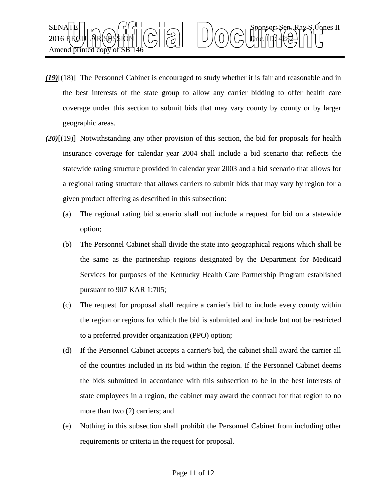

- *(19)*[(18)] The Personnel Cabinet is encouraged to study whether it is fair and reasonable and in the best interests of the state group to allow any carrier bidding to offer health care coverage under this section to submit bids that may vary county by county or by larger geographic areas.
- *(20)*[(19)] Notwithstanding any other provision of this section, the bid for proposals for health insurance coverage for calendar year 2004 shall include a bid scenario that reflects the statewide rating structure provided in calendar year 2003 and a bid scenario that allows for a regional rating structure that allows carriers to submit bids that may vary by region for a given product offering as described in this subsection:
	- (a) The regional rating bid scenario shall not include a request for bid on a statewide option;
	- (b) The Personnel Cabinet shall divide the state into geographical regions which shall be the same as the partnership regions designated by the Department for Medicaid Services for purposes of the Kentucky Health Care Partnership Program established pursuant to 907 KAR 1:705;
	- (c) The request for proposal shall require a carrier's bid to include every county within the region or regions for which the bid is submitted and include but not be restricted to a preferred provider organization (PPO) option;
	- (d) If the Personnel Cabinet accepts a carrier's bid, the cabinet shall award the carrier all of the counties included in its bid within the region. If the Personnel Cabinet deems the bids submitted in accordance with this subsection to be in the best interests of state employees in a region, the cabinet may award the contract for that region to no more than two (2) carriers; and
	- (e) Nothing in this subsection shall prohibit the Personnel Cabinet from including other requirements or criteria in the request for proposal.